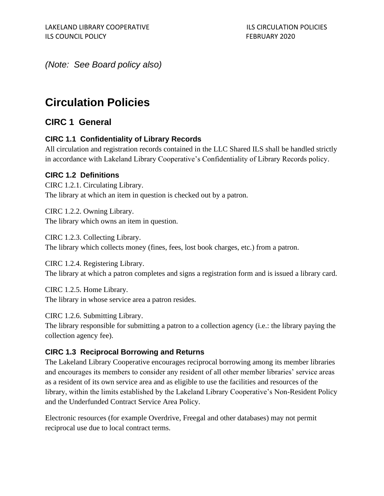*(Note: See Board policy also)*

# **Circulation Policies**

# **CIRC 1 General**

#### **CIRC 1.1 Confidentiality of Library Records**

All circulation and registration records contained in the LLC Shared ILS shall be handled strictly in accordance with Lakeland Library Cooperative's Confidentiality of Library Records policy.

#### **CIRC 1.2 Definitions**

CIRC 1.2.1. Circulating Library. The library at which an item in question is checked out by a patron.

CIRC 1.2.2. Owning Library. The library which owns an item in question.

CIRC 1.2.3. Collecting Library. The library which collects money (fines, fees, lost book charges, etc.) from a patron.

CIRC 1.2.4. Registering Library. The library at which a patron completes and signs a registration form and is issued a library card.

CIRC 1.2.5. Home Library. The library in whose service area a patron resides.

CIRC 1.2.6. Submitting Library.

The library responsible for submitting a patron to a collection agency (i.e.: the library paying the collection agency fee).

#### **CIRC 1.3 Reciprocal Borrowing and Returns**

The Lakeland Library Cooperative encourages reciprocal borrowing among its member libraries and encourages its members to consider any resident of all other member libraries' service areas as a resident of its own service area and as eligible to use the facilities and resources of the library, within the limits established by the Lakeland Library Cooperative's Non-Resident Policy and the Underfunded Contract Service Area Policy.

Electronic resources (for example Overdrive, Freegal and other databases) may not permit reciprocal use due to local contract terms.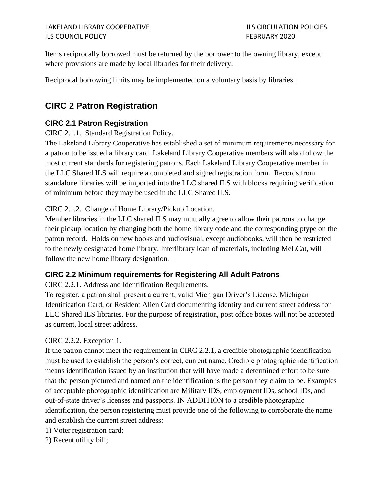Items reciprocally borrowed must be returned by the borrower to the owning library, except where provisions are made by local libraries for their delivery.

Reciprocal borrowing limits may be implemented on a voluntary basis by libraries.

# **CIRC 2 Patron Registration**

#### **CIRC 2.1 Patron Registration**

CIRC 2.1.1. Standard Registration Policy.

The Lakeland Library Cooperative has established a set of minimum requirements necessary for a patron to be issued a library card. Lakeland Library Cooperative members will also follow the most current standards for registering patrons. Each Lakeland Library Cooperative member in the LLC Shared ILS will require a completed and signed registration form. Records from standalone libraries will be imported into the LLC shared ILS with blocks requiring verification of minimum before they may be used in the LLC Shared ILS.

#### CIRC 2.1.2. Change of Home Library/Pickup Location.

Member libraries in the LLC shared ILS may mutually agree to allow their patrons to change their pickup location by changing both the home library code and the corresponding ptype on the patron record. Holds on new books and audiovisual, except audiobooks, will then be restricted to the newly designated home library. Interlibrary loan of materials, including MeLCat, will follow the new home library designation.

#### **CIRC 2.2 Minimum requirements for Registering All Adult Patrons**

CIRC 2.2.1. Address and Identification Requirements.

To register, a patron shall present a current, valid Michigan Driver's License, Michigan Identification Card, or Resident Alien Card documenting identity and current street address for LLC Shared ILS libraries. For the purpose of registration, post office boxes will not be accepted as current, local street address.

#### CIRC 2.2.2. Exception 1.

If the patron cannot meet the requirement in CIRC 2.2.1, a credible photographic identification must be used to establish the person's correct, current name. Credible photographic identification means identification issued by an institution that will have made a determined effort to be sure that the person pictured and named on the identification is the person they claim to be. Examples of acceptable photographic identification are Military IDS, employment IDs, school IDs, and out-of-state driver's licenses and passports. IN ADDITION to a credible photographic identification, the person registering must provide one of the following to corroborate the name and establish the current street address:

- 1) Voter registration card;
- 2) Recent utility bill;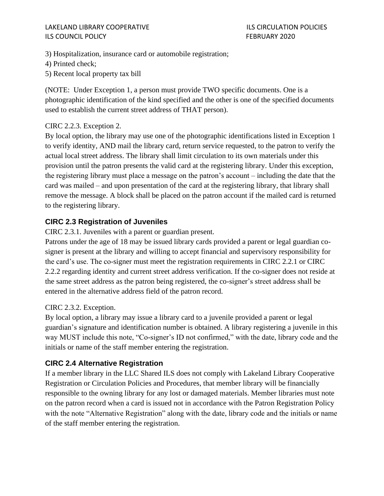#### LAKELAND LIBRARY COOPERATIVE **ILS CIRCULATION POLICIES** ILS COUNCIL POLICY FEBRUARY 2020

3) Hospitalization, insurance card or automobile registration;

4) Printed check;

5) Recent local property tax bill

(NOTE: Under Exception 1, a person must provide TWO specific documents. One is a photographic identification of the kind specified and the other is one of the specified documents used to establish the current street address of THAT person).

#### CIRC 2.2.3. Exception 2.

By local option, the library may use one of the photographic identifications listed in Exception 1 to verify identity, AND mail the library card, return service requested, to the patron to verify the actual local street address. The library shall limit circulation to its own materials under this provision until the patron presents the valid card at the registering library. Under this exception, the registering library must place a message on the patron's account – including the date that the card was mailed – and upon presentation of the card at the registering library, that library shall remove the message. A block shall be placed on the patron account if the mailed card is returned to the registering library.

#### **CIRC 2.3 Registration of Juveniles**

CIRC 2.3.1. Juveniles with a parent or guardian present.

Patrons under the age of 18 may be issued library cards provided a parent or legal guardian cosigner is present at the library and willing to accept financial and supervisory responsibility for the card's use. The co-signer must meet the registration requirements in CIRC 2.2.1 or CIRC 2.2.2 regarding identity and current street address verification. If the co-signer does not reside at the same street address as the patron being registered, the co-signer's street address shall be entered in the alternative address field of the patron record.

#### CIRC 2.3.2. Exception.

By local option, a library may issue a library card to a juvenile provided a parent or legal guardian's signature and identification number is obtained. A library registering a juvenile in this way MUST include this note, "Co-signer's ID not confirmed," with the date, library code and the initials or name of the staff member entering the registration.

#### **CIRC 2.4 Alternative Registration**

If a member library in the LLC Shared ILS does not comply with Lakeland Library Cooperative Registration or Circulation Policies and Procedures, that member library will be financially responsible to the owning library for any lost or damaged materials. Member libraries must note on the patron record when a card is issued not in accordance with the Patron Registration Policy with the note "Alternative Registration" along with the date, library code and the initials or name of the staff member entering the registration.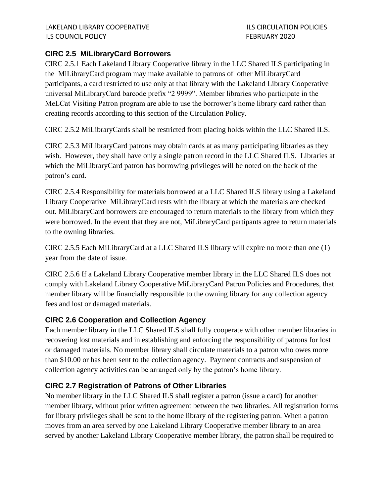## **CIRC 2.5 MiLibraryCard Borrowers**

CIRC 2.5.1 Each Lakeland Library Cooperative library in the LLC Shared ILS participating in the MiLibraryCard program may make available to patrons of other MiLibraryCard participants, a card restricted to use only at that library with the Lakeland Library Cooperative universal MiLibraryCard barcode prefix "2 9999". Member libraries who participate in the MeLCat Visiting Patron program are able to use the borrower's home library card rather than creating records according to this section of the Circulation Policy.

CIRC 2.5.2 MiLibraryCards shall be restricted from placing holds within the LLC Shared ILS.

CIRC 2.5.3 MiLibraryCard patrons may obtain cards at as many participating libraries as they wish. However, they shall have only a single patron record in the LLC Shared ILS. Libraries at which the MiLibraryCard patron has borrowing privileges will be noted on the back of the patron's card.

CIRC 2.5.4 Responsibility for materials borrowed at a LLC Shared ILS library using a Lakeland Library Cooperative MiLibraryCard rests with the library at which the materials are checked out. MiLibraryCard borrowers are encouraged to return materials to the library from which they were borrowed. In the event that they are not, MiLibraryCard partipants agree to return materials to the owning libraries.

CIRC 2.5.5 Each MiLibraryCard at a LLC Shared ILS library will expire no more than one (1) year from the date of issue.

CIRC 2.5.6 If a Lakeland Library Cooperative member library in the LLC Shared ILS does not comply with Lakeland Library Cooperative MiLibraryCard Patron Policies and Procedures, that member library will be financially responsible to the owning library for any collection agency fees and lost or damaged materials.

#### **CIRC 2.6 Cooperation and Collection Agency**

Each member library in the LLC Shared ILS shall fully cooperate with other member libraries in recovering lost materials and in establishing and enforcing the responsibility of patrons for lost or damaged materials. No member library shall circulate materials to a patron who owes more than \$10.00 or has been sent to the collection agency. Payment contracts and suspension of collection agency activities can be arranged only by the patron's home library.

# **CIRC 2.7 Registration of Patrons of Other Libraries**

No member library in the LLC Shared ILS shall register a patron (issue a card) for another member library, without prior written agreement between the two libraries. All registration forms for library privileges shall be sent to the home library of the registering patron. When a patron moves from an area served by one Lakeland Library Cooperative member library to an area served by another Lakeland Library Cooperative member library, the patron shall be required to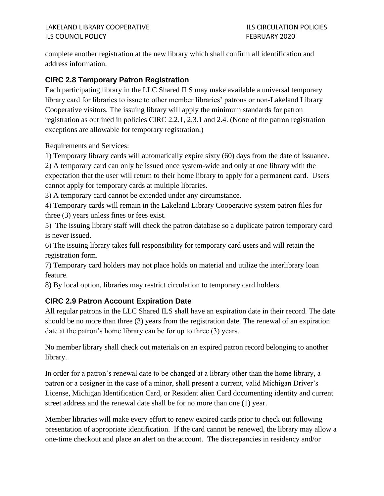complete another registration at the new library which shall confirm all identification and address information.

#### **CIRC 2.8 Temporary Patron Registration**

Each participating library in the LLC Shared ILS may make available a universal temporary library card for libraries to issue to other member libraries' patrons or non-Lakeland Library Cooperative visitors. The issuing library will apply the minimum standards for patron registration as outlined in policies CIRC 2.2.1, 2.3.1 and 2.4. (None of the patron registration exceptions are allowable for temporary registration.)

Requirements and Services:

1) Temporary library cards will automatically expire sixty (60) days from the date of issuance.

2) A temporary card can only be issued once system-wide and only at one library with the expectation that the user will return to their home library to apply for a permanent card. Users cannot apply for temporary cards at multiple libraries.

3) A temporary card cannot be extended under any circumstance.

4) Temporary cards will remain in the Lakeland Library Cooperative system patron files for three (3) years unless fines or fees exist.

5) The issuing library staff will check the patron database so a duplicate patron temporary card is never issued.

6) The issuing library takes full responsibility for temporary card users and will retain the registration form.

7) Temporary card holders may not place holds on material and utilize the interlibrary loan feature.

8) By local option, libraries may restrict circulation to temporary card holders.

#### **CIRC 2.9 Patron Account Expiration Date**

All regular patrons in the LLC Shared ILS shall have an expiration date in their record. The date should be no more than three (3) years from the registration date. The renewal of an expiration date at the patron's home library can be for up to three (3) years.

No member library shall check out materials on an expired patron record belonging to another library.

In order for a patron's renewal date to be changed at a library other than the home library, a patron or a cosigner in the case of a minor, shall present a current, valid Michigan Driver's License, Michigan Identification Card, or Resident alien Card documenting identity and current street address and the renewal date shall be for no more than one (1) year.

Member libraries will make every effort to renew expired cards prior to check out following presentation of appropriate identification. If the card cannot be renewed, the library may allow a one-time checkout and place an alert on the account. The discrepancies in residency and/or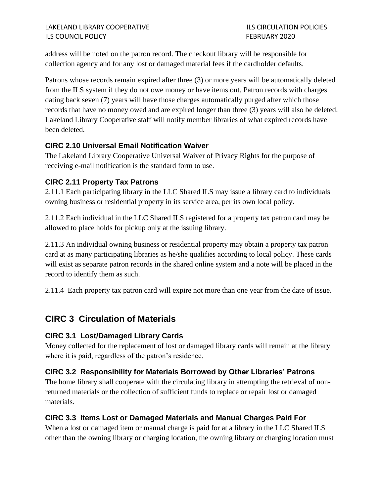address will be noted on the patron record. The checkout library will be responsible for collection agency and for any lost or damaged material fees if the cardholder defaults.

Patrons whose records remain expired after three (3) or more years will be automatically deleted from the ILS system if they do not owe money or have items out. Patron records with charges dating back seven (7) years will have those charges automatically purged after which those records that have no money owed and are expired longer than three (3) years will also be deleted. Lakeland Library Cooperative staff will notify member libraries of what expired records have been deleted.

#### **CIRC 2.10 Universal Email Notification Waiver**

The Lakeland Library Cooperative Universal Waiver of Privacy Rights for the purpose of receiving e-mail notification is the standard form to use.

#### **CIRC 2.11 Property Tax Patrons**

2.11.1 Each participating library in the LLC Shared ILS may issue a library card to individuals owning business or residential property in its service area, per its own local policy.

2.11.2 Each individual in the LLC Shared ILS registered for a property tax patron card may be allowed to place holds for pickup only at the issuing library.

2.11.3 An individual owning business or residential property may obtain a property tax patron card at as many participating libraries as he/she qualifies according to local policy. These cards will exist as separate patron records in the shared online system and a note will be placed in the record to identify them as such.

2.11.4 Each property tax patron card will expire not more than one year from the date of issue.

# **CIRC 3 Circulation of Materials**

#### **CIRC 3.1 Lost/Damaged Library Cards**

Money collected for the replacement of lost or damaged library cards will remain at the library where it is paid, regardless of the patron's residence.

#### **CIRC 3.2 Responsibility for Materials Borrowed by Other Libraries' Patrons**

The home library shall cooperate with the circulating library in attempting the retrieval of nonreturned materials or the collection of sufficient funds to replace or repair lost or damaged materials.

#### **CIRC 3.3 Items Lost or Damaged Materials and Manual Charges Paid For**

When a lost or damaged item or manual charge is paid for at a library in the LLC Shared ILS other than the owning library or charging location, the owning library or charging location must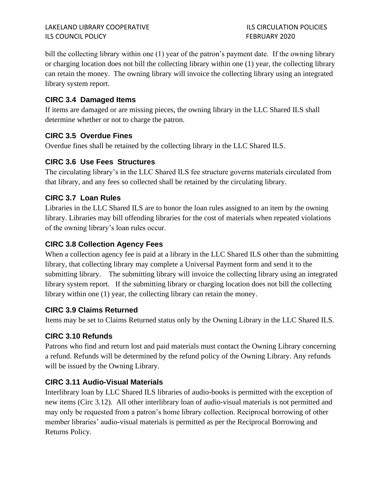bill the collecting library within one (1) year of the patron's payment date. If the owning library or charging location does not bill the collecting library within one (1) year, the collecting library can retain the money. The owning library will invoice the collecting library using an integrated library system report.

## **CIRC 3.4 Damaged Items**

If items are damaged or are missing pieces, the owning library in the LLC Shared ILS shall determine whether or not to charge the patron.

#### **CIRC 3.5 Overdue Fines**

Overdue fines shall be retained by the collecting library in the LLC Shared ILS.

#### **CIRC 3.6 Use Fees Structures**

The circulating library's in the LLC Shared ILS fee structure governs materials circulated from that library, and any fees so collected shall be retained by the circulating library.

#### **CIRC 3.7 Loan Rules**

Libraries in the LLC Shared ILS are to honor the loan rules assigned to an item by the owning library. Libraries may bill offending libraries for the cost of materials when repeated violations of the owning library's loan rules occur.

#### **CIRC 3.8 Collection Agency Fees**

When a collection agency fee is paid at a library in the LLC Shared ILS other than the submitting library, that collecting library may complete a Universal Payment form and send it to the submitting library. The submitting library will invoice the collecting library using an integrated library system report. If the submitting library or charging location does not bill the collecting library within one (1) year, the collecting library can retain the money.

#### **CIRC 3.9 Claims Returned**

Items may be set to Claims Returned status only by the Owning Library in the LLC Shared ILS.

# **CIRC 3.10 Refunds**

Patrons who find and return lost and paid materials must contact the Owning Library concerning a refund. Refunds will be determined by the refund policy of the Owning Library. Any refunds will be issued by the Owning Library.

# **CIRC 3.11 Audio-Visual Materials**

Interlibrary loan by LLC Shared ILS libraries of audio-books is permitted with the exception of new items (Circ 3.12). All other interlibrary loan of audio-visual materials is not permitted and may only be requested from a patron's home library collection. Reciprocal borrowing of other member libraries' audio-visual materials is permitted as per the Reciprocal Borrowing and Returns Policy.